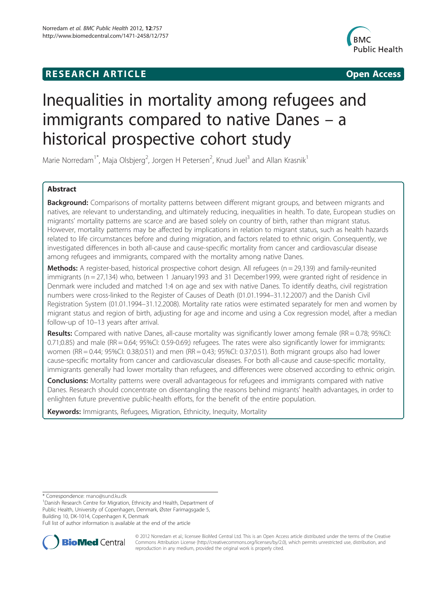# **RESEARCH ARTICLE Example 2014 12:30 The SEAR CHA R TIGGS**



# Inequalities in mortality among refugees and immigrants compared to native Danes – a historical prospective cohort study

Marie Norredam<sup>1\*</sup>, Maja Olsbjerg<sup>2</sup>, Jorgen H Petersen<sup>2</sup>, Knud Juel<sup>3</sup> and Allan Krasnik<sup>1</sup>

# Abstract

Background: Comparisons of mortality patterns between different migrant groups, and between migrants and natives, are relevant to understanding, and ultimately reducing, inequalities in health. To date, European studies on migrants' mortality patterns are scarce and are based solely on country of birth, rather than migrant status. However, mortality patterns may be affected by implications in relation to migrant status, such as health hazards related to life circumstances before and during migration, and factors related to ethnic origin. Consequently, we investigated differences in both all-cause and cause-specific mortality from cancer and cardiovascular disease among refugees and immigrants, compared with the mortality among native Danes.

Methods: A register-based, historical prospective cohort design. All refugees (n = 29,139) and family-reunited immigrants (n = 27,134) who, between 1 January1993 and 31 December1999, were granted right of residence in Denmark were included and matched 1:4 on age and sex with native Danes. To identify deaths, civil registration numbers were cross-linked to the Register of Causes of Death (01.01.1994–31.12.2007) and the Danish Civil Registration System (01.01.1994–31.12.2008). Mortality rate ratios were estimated separately for men and women by migrant status and region of birth, adjusting for age and income and using a Cox regression model, after a median follow-up of 10–13 years after arrival.

Results: Compared with native Danes, all-cause mortality was significantly lower among female (RR = 0.78; 95%CI: 0.71;0.85) and male (RR = 0.64; 95%CI: 0.59-0.69;) refugees. The rates were also significantly lower for immigrants: women (RR = 0.44; 95%CI: 0.38;0.51) and men (RR = 0.43; 95%CI: 0.37;0.51). Both migrant groups also had lower cause-specific mortality from cancer and cardiovascular diseases. For both all-cause and cause-specific mortality, immigrants generally had lower mortality than refugees, and differences were observed according to ethnic origin.

**Conclusions:** Mortality patterns were overall advantageous for refugees and immigrants compared with native Danes. Research should concentrate on disentangling the reasons behind migrants' health advantages, in order to enlighten future preventive public-health efforts, for the benefit of the entire population.

Keywords: Immigrants, Refugees, Migration, Ethnicity, Inequity, Mortality

\* Correspondence: [mano@sund.ku.dk](mailto:mano@sund.ku.dk) <sup>1</sup>

<sup>1</sup> Danish Research Centre for Migration, Ethnicity and Health, Department of Public Health, University of Copenhagen, Denmark, Øster Farimagsgade 5, Building 10, DK-1014, Copenhagen K, Denmark





© 2012 Norredam et al.; licensee BioMed Central Ltd. This is an Open Access article distributed under the terms of the Creative Commons Attribution License [\(http://creativecommons.org/licenses/by/2.0\)](http://creativecommons.org/licenses/by/2.0), which permits unrestricted use, distribution, and reproduction in any medium, provided the original work is properly cited.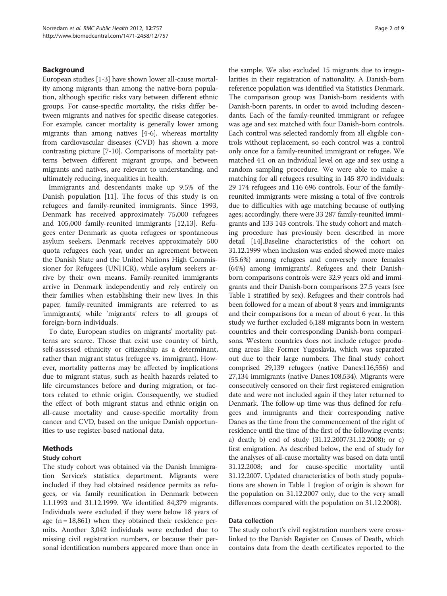# Background

European studies [[1-](#page-7-0)[3\]](#page-8-0) have shown lower all-cause mortality among migrants than among the native-born population, although specific risks vary between different ethnic groups. For cause-specific mortality, the risks differ between migrants and natives for specific disease categories. For example, cancer mortality is generally lower among migrants than among natives [[4-6\]](#page-8-0), whereas mortality from cardiovascular diseases (CVD) has shown a more contrasting picture [\[7-10\]](#page-8-0). Comparisons of mortality patterns between different migrant groups, and between migrants and natives, are relevant to understanding, and ultimately reducing, inequalities in health.

Immigrants and descendants make up 9.5% of the Danish population [\[11](#page-8-0)]. The focus of this study is on refugees and family-reunited immigrants. Since 1993, Denmark has received approximately 75,000 refugees and 105,000 family-reunited immigrants [\[12,13\]](#page-8-0). Refugees enter Denmark as quota refugees or spontaneous asylum seekers. Denmark receives approximately 500 quota refugees each year, under an agreement between the Danish State and the United Nations High Commissioner for Refugees (UNHCR), while asylum seekers arrive by their own means. Family-reunited immigrants arrive in Denmark independently and rely entirely on their families when establishing their new lives. In this paper, family-reunited immigrants are referred to as 'immigrants', while 'migrants' refers to all groups of foreign-born individuals.

To date, European studies on migrants' mortality patterns are scarce. Those that exist use country of birth, self-assessed ethnicity or citizenship as a determinant, rather than migrant status (refugee vs. immigrant). However, mortality patterns may be affected by implications due to migrant status, such as health hazards related to life circumstances before and during migration, or factors related to ethnic origin. Consequently, we studied the effect of both migrant status and ethnic origin on all-cause mortality and cause-specific mortality from cancer and CVD, based on the unique Danish opportunities to use register-based national data.

# Methods

# Study cohort

The study cohort was obtained via the Danish Immigration Service's statistics department. Migrants were included if they had obtained residence permits as refugees, or via family reunification in Denmark between 1.1.1993 and 31.12.1999. We identified 84,379 migrants. Individuals were excluded if they were below 18 years of age  $(n = 18,861)$  when they obtained their residence permits. Another 3,042 individuals were excluded due to missing civil registration numbers, or because their personal identification numbers appeared more than once in

the sample. We also excluded 15 migrants due to irregularities in their registration of nationality. A Danish-born reference population was identified via Statistics Denmark. The comparison group was Danish-born residents with Danish-born parents, in order to avoid including descendants. Each of the family-reunited immigrant or refugee was age and sex matched with four Danish-born controls. Each control was selected randomly from all eligible controls without replacement, so each control was a control only once for a family-reunited immigrant or refugee. We matched 4:1 on an individual level on age and sex using a random sampling procedure. We were able to make a matching for all refugees resulting in 145 870 individuals: 29 174 refugees and 116 696 controls. Four of the familyreunited immigrants were missing a total of five controls due to difficulties with age matching because of outlying ages; accordingly, there were 33 287 family-reunited immigrants and 133 143 controls. The study cohort and matching procedure has previously been described in more detail [\[14](#page-8-0)].Baseline characteristics of the cohort on 31.12.1999 when inclusion was ended showed more males (55.6%) among refugees and conversely more females (64%) among immigrants'. Refugees and their Danishborn comparisons controls were 32.9 years old and immigrants and their Danish-born comparisons 27.5 years (see Table [1](#page-2-0) stratified by sex). Refugees and their controls had been followed for a mean of about 8 years and immigrants and their comparisons for a mean of about 6 year. In this study we further excluded 6,188 migrants born in western countries and their corresponding Danish-born comparisons. Western countries does not include refugee producing areas like Former Yugoslavia, which was separated out due to their large numbers. The final study cohort comprised 29,139 refugees (native Danes:116,556) and 27,134 immigrants (native Danes:108,534). Migrants were consecutively censored on their first registered emigration date and were not included again if they later returned to Denmark. The follow-up time was thus defined for refugees and immigrants and their corresponding native Danes as the time from the commencement of the right of residence until the time of the first of the following events: a) death; b) end of study (31.12.2007/31.12.2008); or c) first emigration. As described below, the end of study for the analyses of all-cause mortality was based on data until 31.12.2008; and for cause-specific mortality until 31.12.2007. Updated characteristics of both study populations are shown in Table [1](#page-2-0) (region of origin is shown for the population on 31.12.2007 only, due to the very small differences compared with the population on 31.12.2008).

#### Data collection

The study cohort's civil registration numbers were crosslinked to the Danish Register on Causes of Death, which contains data from the death certificates reported to the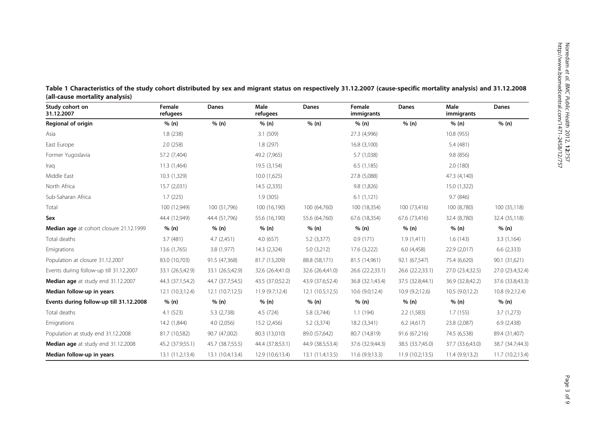| Study cohort on<br>31.12.2007           | Female<br>refugees | Danes            | Male<br>refugees | Danes            | Female<br>immigrants | Danes            | Male<br>immigrants | Danes            |
|-----------------------------------------|--------------------|------------------|------------------|------------------|----------------------|------------------|--------------------|------------------|
| Regional of origin                      | % (n)              | % (n)            | % (n)            | % (n)            | % (n)                | % (n)            | % (n)              | % (n)            |
| Asia                                    | 1.8(238)           |                  | 3.1 (509)        |                  | 27.3 (4,996)         |                  | 10.8 (955)         |                  |
| East Europe                             | 2.0(258)           |                  | 1.8(297)         |                  | 16.8 (3,100)         |                  | 5.4 (481)          |                  |
| Former Yugoslavia                       | 57.2 (7,404)       |                  | 49.2 (7,965)     |                  | 5.7 (1,038)          |                  | 9.8 (856)          |                  |
| Iraq                                    | 11.3 (1,464)       |                  | 19.5 (3,154)     |                  | 6.5(1,185)           |                  | 2.0(180)           |                  |
| Middle East                             | 10.3 (1,329)       |                  | 10.0 (1,625)     |                  | 27.8 (5,088)         |                  | 47.3 (4,140)       |                  |
| North Africa                            | 15.7 (2,031)       |                  | 14.5 (2,335)     |                  | 9.8 (1,826)          |                  | 15.0 (1,322)       |                  |
| Sub-Saharan Africa                      | 1.7(225)           |                  | 1.9(305)         |                  | 6.1(1,121)           |                  | 9.7(846)           |                  |
| Total                                   | 100 (12,949)       | 100 (51,796)     | 100 (16,190)     | 100 (64,760)     | 100 (18,354)         | 100 (73,416)     | 100 (8,780)        | 100 (35,118)     |
| Sex                                     | 44.4 (12,949)      | 44.4 (51,796)    | 55.6 (16,190)    | 55.6 (64,760)    | 67.6 (18,354)        | 67.6 (73,416)    | 32.4 (8,780)       | 32.4 (35,118)    |
| Median age at cohort closure 21.12.1999 | % (n)              | % (n)            | % (n)            | % (n)            | % (n)                | % (n)            | % (n)              | % (n)            |
| Total deaths                            | 3.7(481)           | 4.7(2,451)       | 4.0(657)         | 5.2(3,377)       | 0.9(171)             | 1.9(1,411)       | 1.6(143)           | 3.3(1,164)       |
| Emigrations                             | 13.6 (1,765)       | 3.8(1,977)       | 14.3 (2,324)     | 5.0(3,212)       | 17.6 (3,222)         | 6.0(4,458)       | 22.9 (2,017)       | 6.6(2,333)       |
| Population at closure 31.12.2007        | 83.0 (10,703)      | 91.5 (47,368)    | 81.7 (13,209)    | 88.8 (58,171)    | 81.5 (14,961)        | 92.1 (67,547)    | 75.4 (6,620)       | 90.1 (31,621)    |
| Events during follow-up till 31.12.2007 | 33.1 (26.5;42.9)   | 33.1 (26.5;42.9) | 32.6 (26.4;41.0) | 32.6 (26.4;41.0) | 26.6 (22.2;33.1)     | 26.6 (22.2;33.1) | 27.0 (23.4;32.5)   | 27.0 (23.4;32.4) |
| Median age at study end 31.12.2007      | 44.3 (37.1;54.2)   | 44.7 (37.7;54.5) | 43.5 (37.0;52.2) | 43.9 (37.6;52.4) | 36.8 (32.1;43.4)     | 37.5 (32.8;44.1) | 36.9 (32.8;42.2)   | 37.6 (33.8;43.3) |
| Median follow-up in years               | 12.1 (10.3;12.4)   | 12.1 (10.7;12.5) | 11.9(9.7;12.4)   | 12.1(10.5;12.5)  | 10.6 (9.0;12.4)      | 10.9 (9.2;12.6)  | 10.5 (9.0;12.2)    | 10.8 (9.2;12.4)  |
| Events during follow-up till 31.12.2008 | % (n)              | % (n)            | % (n)            | % (n)            | % (n)                | % (n)            | % (n)              | % (n)            |
| Total deaths                            | 4.1(523)           | 5.3 (2,738)      | 4.5(724)         | 5.8 (3,744)      | 1.1(194)             | 2.2(1,583)       | 1.7(155)           | 3.7(1,273)       |
| Emigrations                             | 14.2 (1,844)       | 4.0(2,056)       | 15.2 (2,456)     | 5.2(3,374)       | 18.2 (3,341)         | 6.2(4,617)       | 23.8 (2,087)       | 6.9(2,438)       |
| Population at study end 31.12.2008      | 81.7 (10,582)      | 90.7 (47,002)    | 80.3 (13,010)    | 89.0 (57,642)    | 80.7 (14,819)        | 91.6 (67,216)    | 74.5 (6,538)       | 89.4 (31,407)    |
| Median age at study end 31.12.2008      | 45.2 (37.9;55.1)   | 45.7 (38.7;55.5) | 44.4 (37.8;53.1) | 44.9 (38.5;53.4) | 37.6 (32.9;44.3)     | 38.5 (33.7;45.0) | 37.7 (33.6;43.0)   | 38.7 (34.7;44.3) |
| Median follow-up in years               | 13.1 (11.2;13.4)   | 13.1 (10.4;13.4) | 12.9 (10.6;13.4) | 13.1(11.4;13.5)  | 11.6 (9.9;13.3)      | 11.9 (10.2;13.5) | 11.4 (9.9;13.2)    | 11.7 (10.2;13.4) |

<span id="page-2-0"></span>

| Table 1 Characteristics of the study cohort distributed by sex and migrant status on respectively 31.12.2007 (cause-specific mortality analysis) and 31.12.2008 |  |
|-----------------------------------------------------------------------------------------------------------------------------------------------------------------|--|
| (all-cause mortality analysis)                                                                                                                                  |  |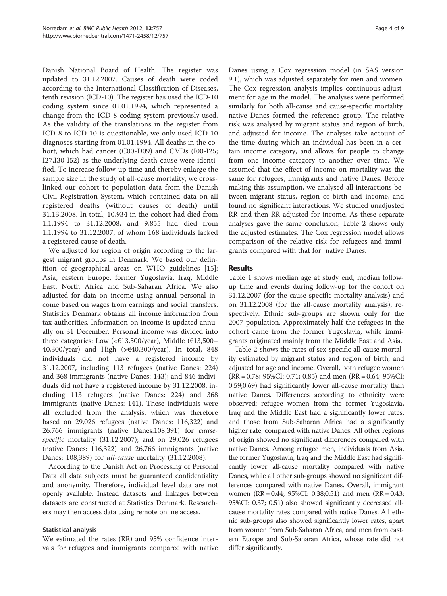Danish National Board of Health. The register was updated to 31.12.2007. Causes of death were coded according to the International Classification of Diseases, tenth revision (ICD-10). The register has used the ICD-10 coding system since 01.01.1994, which represented a change from the ICD-8 coding system previously used. As the validity of the translations in the register from ICD-8 to ICD-10 is questionable, we only used ICD-10 diagnoses starting from 01.01.1994. All deaths in the cohort, which had cancer (C00-D09) and CVDs (I00-I25; I27,I30-I52) as the underlying death cause were identified. To increase follow-up time and thereby enlarge the sample size in the study of all-cause mortality, we crosslinked our cohort to population data from the Danish Civil Registration System, which contained data on all registered deaths (without causes of death) until 31.13.2008. In total, 10,934 in the cohort had died from 1.1.1994 to 31.12.2008, and 9,855 had died from 1.1.1994 to 31.12.2007, of whom 168 individuals lacked a registered cause of death.

We adjusted for region of origin according to the largest migrant groups in Denmark. We based our definition of geographical areas on WHO guidelines [\[15](#page-8-0)]: Asia, eastern Europe, former Yugoslavia, Iraq, Middle East, North Africa and Sub-Saharan Africa. We also adjusted for data on income using annual personal income based on wages from earnings and social transfers. Statistics Denmark obtains all income information from tax authorities. Information on income is updated annually on 31 December. Personal income was divided into three categories: Low (< $\epsilon$ 13,500/year), Middle ( $\epsilon$ 13,500– 40,300/year) and High (>€40,300/year). In total, 848 individuals did not have a registered income by 31.12.2007, including 113 refugees (native Danes: 224) and 368 immigrants (native Danes: 143); and 846 individuals did not have a registered income by 31.12.2008, including 113 refugees (native Danes: 224) and 368 immigrants (native Danes: 141). These individuals were all excluded from the analysis, which was therefore based on 29,026 refugees (native Danes: 116,322) and 26,766 immigrants (native Danes:108,391) for causespecific mortality (31.12.2007); and on 29,026 refugees (native Danes: 116,322) and 26,766 immigrants (native Danes: 108,389) for all-cause mortality (31.12.2008).

According to the Danish Act on Processing of Personal Data all data subjects must be guaranteed confidentiality and anonymity. Therefore, individual level data are not openly available. Instead datasets and linkages between datasets are constructed at Statistics Denmark. Researchers may then access data using remote online access.

#### Statistical analysis

We estimated the rates (RR) and 95% confidence intervals for refugees and immigrants compared with native

Danes using a Cox regression model (in SAS version 9.1), which was adjusted separately for men and women. The Cox regression analysis implies continuous adjustment for age in the model. The analyses were performed similarly for both all-cause and cause-specific mortality. native Danes formed the reference group. The relative risk was analysed by migrant status and region of birth, and adjusted for income. The analyses take account of the time during which an individual has been in a certain income category, and allows for people to change from one income category to another over time. We assumed that the effect of income on mortality was the same for refugees, immigrants and native Danes. Before making this assumption, we analysed all interactions between migrant status, region of birth and income, and found no significant interactions. We studied unadjusted RR and then RR adjusted for income. As these separate analyses gave the same conclusion, Table [2](#page-4-0) shows only the adjusted estimates. The Cox regression model allows comparison of the relative risk for refugees and immigrants compared with that for native Danes.

# Results

Table [1](#page-2-0) shows median age at study end, median followup time and events during follow-up for the cohort on 31.12.2007 (for the cause-specific mortality analysis) and on 31.12.2008 (for the all-cause mortality analysis), respectively. Ethnic sub-groups are shown only for the 2007 population. Approximately half the refugees in the cohort came from the former Yugoslavia, while immigrants originated mainly from the Middle East and Asia.

Table [2](#page-4-0) shows the rates of sex-specific all-cause mortality estimated by migrant status and region of birth, and adjusted for age and income. Overall, both refugee women (RR = 0.78; 95%CI: 0.71; 0.85) and men (RR = 0.64; 95%CI: 0.59;0.69) had significantly lower all-cause mortality than native Danes. Differences according to ethnicity were observed: refugee women from the former Yugoslavia, Iraq and the Middle East had a significantly lower rates, and those from Sub-Saharan Africa had a significantly higher rate, compared with native Danes. All other regions of origin showed no significant differences compared with native Danes. Among refugee men, individuals from Asia, the former Yugoslavia, Iraq and the Middle East had significantly lower all-cause mortality compared with native Danes, while all other sub-groups showed no significant differences compared with native Danes. Overall, immigrant women (RR = 0.44; 95%CI: 0.38;0.51) and men (RR = 0.43; 95%CI: 0.37; 0.51) also showed significantly decreased allcause mortality rates compared with native Danes. All ethnic sub-groups also showed significantly lower rates, apart from women from Sub-Saharan Africa, and men from eastern Europe and Sub-Saharan Africa, whose rate did not differ significantly.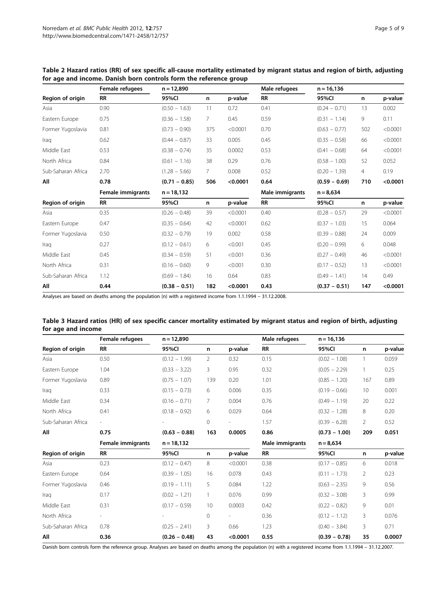|                    | Female refugees   | $n = 12,890$    |     |          | Male refugees   | $n = 16,136$    |                |          |
|--------------------|-------------------|-----------------|-----|----------|-----------------|-----------------|----------------|----------|
| Region of origin   | <b>RR</b>         | 95%CI           | n   | p-value  | <b>RR</b>       | 95%CI           | n              | p-value  |
| Asia               | 0.90              | $(0.50 - 1.63)$ | 11  | 0.72     | 0.41            | $(0.24 - 0.71)$ | 13             | 0.002    |
| Eastern Europe     | 0.75              | $(0.36 - 1.58)$ | 7.  | 0.45     | 0.59            | $(0.31 - 1.14)$ | 9              | 0.11     |
| Former Yugoslavia  | 0.81              | $(0.73 - 0.90)$ | 375 | < 0.0001 | 0.70            | $(0.63 - 0.77)$ | 502            | < 0.0001 |
| Iraq               | 0.62              | $(0.44 - 0.87)$ | 33  | 0.005    | 0.45            | $(0.35 - 0.58)$ | 66             | < 0.0001 |
| Middle East        | 0.53              | $(0.38 - 0.74)$ | 35  | 0.0002   | 0.53            | $(0.41 - 0.68)$ | 64             | < 0.0001 |
| North Africa       | 0.84              | $(0.61 - 1.16)$ | 38  | 0.29     | 0.76            | $(0.58 - 1.00)$ | 52             | 0.052    |
| Sub-Saharan Africa | 2.70              | $(1.28 - 5.66)$ | 7   | 0.008    | 0.52            | $(0.20 - 1.39)$ | $\overline{4}$ | 0.19     |
| All                | 0.78              | $(0.71 - 0.85)$ | 506 | < 0.0001 | 0.64            | $(0.59 - 0.69)$ | 710            | < 0.0001 |
|                    | Female immigrants | $n = 18,132$    |     |          | Male immigrants | $n = 8,634$     |                |          |
| Region of origin   | <b>RR</b>         | 95%CI           | n   | p-value  | <b>RR</b>       | 95%CI           | n.             | p-value  |
| Asia               | 0.35              | $(0.26 - 0.48)$ | 39  | < 0.0001 | 0.40            | $(0.28 - 0.57)$ | 29             | < 0.0001 |
| Eastern Europe     | 0.47              | $(0.35 - 0.64)$ | 42  | < 0.0001 | 0.62            | $(0.37 - 1.03)$ | 15             | 0.064    |
| Former Yugoslavia  | 0.50              | $(0.32 - 0.79)$ | 19  | 0.002    | 0.58            | $(0.39 - 0.88)$ | 24             | 0.009    |
| Iraq               | 0.27              | $(0.12 - 0.61)$ | 6   | < 0.001  | 0.45            | $(0.20 - 0.99)$ | 6              | 0.048    |
| Middle East        | 0.45              | $(0.34 - 0.59)$ | 51  | < 0.001  | 0.36            | $(0.27 - 0.49)$ | 46             | < 0.0001 |
| North Africa       | 0.31              | $(0.16 - 0.60)$ | 9   | < 0.001  | 0.30            | $(0.17 - 0.52)$ | 13             | < 0.0001 |
| Sub-Saharan Africa | 1.12              | $(0.69 - 1.84)$ | 16  | 0.64     | 0.83            | $(0.49 - 1.41)$ | 14             | 0.49     |
| All                | 0.44              | $(0.38 - 0.51)$ | 182 | < 0.0001 | 0.43            | $(0.37 - 0.51)$ | 147            | < 0.0001 |

<span id="page-4-0"></span>Table 2 Hazard ratios (RR) of sex specific all-cause mortality estimated by migrant status and region of birth, adjusting for age and income. Danish born controls form the reference group

Analyses are based on deaths among the population (n) with a registered income from 1.1.1994 – 31.12.2008.

| Table 3 Hazard ratios (HR) of sex specific cancer mortality estimated by migrant status and region of birth, adjusting |  |
|------------------------------------------------------------------------------------------------------------------------|--|
| for age and income                                                                                                     |  |

|                    | Female refugees          | $n = 12,890$    |                |          | Male refugees   | $n = 16, 136$   |                |         |
|--------------------|--------------------------|-----------------|----------------|----------|-----------------|-----------------|----------------|---------|
| Region of origin   | <b>RR</b>                | 95%CI           | n              | p-value  | <b>RR</b>       | 95%CI           | n              | p-value |
| Asia               | 0.50                     | $(0.12 - 1.99)$ | $\overline{2}$ | 0.32     | 0.15            | $(0.02 - 1.08)$ | 1              | 0.059   |
| Eastern Europe     | 1.04                     | $(0.33 - 3.22)$ | 3              | 0.95     | 0.32            | $(0.05 - 2.29)$ |                | 0.25    |
| Former Yugoslavia  | 0.89                     | $(0.75 - 1.07)$ | 139            | 0.20     | 1.01            | $(0.85 - 1.20)$ | 167            | 0.89    |
| Iraq               | 0.33                     | $(0.15 - 0.73)$ | 6              | 0.006    | 0.35            | $(0.19 - 0.66)$ | 10             | 0.001   |
| Middle East        | 0.34                     | $(0.16 - 0.71)$ | 7              | 0.004    | 0.76            | $(0.49 - 1.19)$ | 20             | 0.22    |
| North Africa       | 0.41                     | $(0.18 - 0.92)$ | 6              | 0.029    | 0.64            | $(0.32 - 1.28)$ | 8              | 0.20    |
| Sub-Saharan Africa | $\overline{\phantom{a}}$ |                 | 0              |          | 1.57            | $(0.39 - 6.28)$ | $\overline{2}$ | 0.52    |
| All                | 0.75                     | $(0.63 - 0.88)$ | 163            | 0.0005   | 0.86            | $(0.73 - 1.00)$ | 209            | 0.051   |
|                    | Female immigrants        | $n = 18,132$    |                |          | Male immigrants | $n = 8,634$     |                |         |
| Region of origin   | <b>RR</b>                | 95%CI           | n              | p-value  | <b>RR</b>       | 95%CI           | n              | p-value |
| Asia               | 0.23                     | $(0.12 - 0.47)$ | 8              | < 0.0001 | 0.38            | $(0.17 - 0.85)$ | 6              | 0.018   |
| Eastern Europe     | 0.64                     | $(0.39 - 1.05)$ | 16             | 0.078    | 0.43            | $(0.11 - 1.73)$ | 2              | 0.23    |
| Former Yugoslavia  | 0.46                     | $(0.19 - 1.11)$ | 5              | 0.084    | 1.22            | $(0.63 - 2.35)$ | 9              | 0.56    |
| Iraq               | 0.17                     | $(0.02 - 1.21)$ | 1              | 0.076    | 0.99            | $(0.32 - 3.08)$ | 3              | 0.99    |
| Middle East        | 0.31                     | $(0.17 - 0.59)$ | 10             | 0.0003   | 0.42            | $(0.22 - 0.82)$ | 9              | 0.01    |
| North Africa       |                          |                 | 0              |          | 0.36            | $(0.12 - 1.12)$ | 3              | 0.076   |
| Sub-Saharan Africa | 0.78                     | $(0.25 - 2.41)$ | 3              | 0.66     | 1.23            | $(0.40 - 3.84)$ | 3              | 0.71    |
| All                | 0.36                     | $(0.26 - 0.48)$ | 43             | < 0.0001 | 0.55            | $(0.39 - 0.78)$ | 35             | 0.0007  |

Danish born controls form the reference group. Analyses are based on deaths among the population (n) with a registered income from 1.1.1994 – 31.12.2007.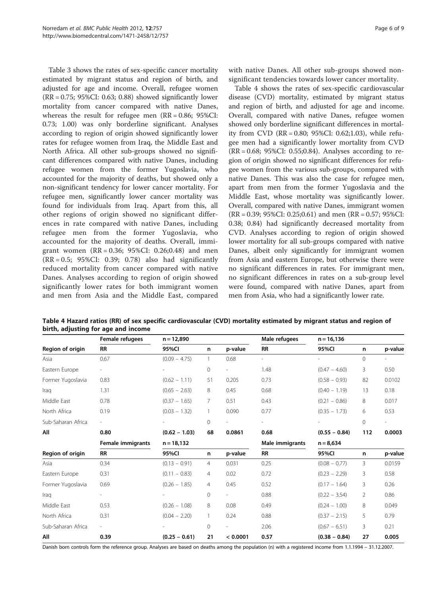Table [3](#page-4-0) shows the rates of sex-specific cancer mortality estimated by migrant status and region of birth, and adjusted for age and income. Overall, refugee women (RR = 0.75; 95%CI: 0.63; 0.88) showed significantly lower mortality from cancer compared with native Danes, whereas the result for refugee men (RR = 0.86; 95%CI: 0.73; 1.00) was only borderline significant. Analyses according to region of origin showed significantly lower rates for refugee women from Iraq, the Middle East and North Africa. All other sub-groups showed no significant differences compared with native Danes, including refugee women from the former Yugoslavia, who accounted for the majority of deaths, but showed only a non-significant tendency for lower cancer mortality. For refugee men, significantly lower cancer mortality was found for individuals from Iraq. Apart from this, all other regions of origin showed no significant differences in rate compared with native Danes, including refugee men from the former Yugoslavia, who accounted for the majority of deaths. Overall, immigrant women  $(RR = 0.36; 95\% CI: 0.26; 0.48)$  and men (RR = 0.5; 95%CI: 0.39; 0.78) also had significantly reduced mortality from cancer compared with native Danes. Analyses according to region of origin showed significantly lower rates for both immigrant women and men from Asia and the Middle East, compared with native Danes. All other sub-groups showed nonsignificant tendencies towards lower cancer mortality.

Table 4 shows the rates of sex-specific cardiovascular disease (CVD) mortality, estimated by migrant status and region of birth, and adjusted for age and income. Overall, compared with native Danes, refugee women showed only borderline significant differences in mortality from CVD (RR = 0.80; 95%CI: 0.62;1.03), while refugee men had a significantly lower mortality from CVD  $(RR = 0.68; 95\% CI: 0.55; 0.84)$ . Analyses according to region of origin showed no significant differences for refugee women from the various sub-groups, compared with native Danes. This was also the case for refugee men, apart from men from the former Yugoslavia and the Middle East, whose mortality was significantly lower. Overall, compared with native Danes, immigrant women  $(RR = 0.39; 95\% CI: 0.25; 0.61)$  and men  $(RR = 0.57; 95\% CI: 0.25; 0.61)$ 0.38; 0.84) had significantly decreased mortality from CVD. Analyses according to region of origin showed lower mortality for all sub-groups compared with native Danes, albeit only significantly for immigrant women from Asia and eastern Europe, but otherwise there were no significant differences in rates. For immigrant men, no significant differences in rates on a sub-group level were found, compared with native Danes, apart from men from Asia, who had a significantly lower rate.

|                    | Female refugees          | $n = 12,890$    |                |                          | Male refugees            | $n = 16, 136$   |         |         |
|--------------------|--------------------------|-----------------|----------------|--------------------------|--------------------------|-----------------|---------|---------|
| Region of origin   | <b>RR</b>                | 95%CI           | n              | p-value                  | <b>RR</b>                | 95%CI           | n       | p-value |
| Asia               | 0.67                     | $(0.09 - 4.75)$ |                | 0.68                     | $\sim$                   |                 | $\circ$ |         |
| Eastern Europe     | $\overline{\phantom{a}}$ |                 | 0              | $\overline{a}$           | 1.48                     | $(0.47 - 4.60)$ | 3       | 0.50    |
| Former Yugoslavia  | 0.83                     | $(0.62 - 1.11)$ | 51             | 0.205                    | 0.73                     | $(0.58 - 0.93)$ | 82      | 0.0102  |
| Iraq               | 1.31                     | $(0.65 - 2.63)$ | 8              | 0.45                     | 0.68                     | $(0.40 - 1.19)$ | 13      | 0.18    |
| Middle East        | 0.78                     | $(0.37 - 1.65)$ | $\overline{7}$ | 0.51                     | 0.43                     | $(0.21 - 0.86)$ | 8       | 0.017   |
| North Africa       | 0.19                     | $(0.03 - 1.32)$ | 1              | 0.090                    | 0.77                     | $(0.35 - 1.73)$ | 6       | 0.53    |
| Sub-Saharan Africa | $\overline{\phantom{a}}$ |                 | $\mathbf 0$    | ÷                        | $\overline{\phantom{0}}$ |                 | 0       |         |
| All                | 0.80                     | $(0.62 - 1.03)$ | 68             | 0.0861                   | 0.68                     | $(0.55 - 0.84)$ | 112     | 0.0003  |
|                    | <b>Female immigrants</b> | $n = 18,132$    |                |                          | Male immigrants          | $n = 8,634$     |         |         |
| Region of origin   | <b>RR</b>                | 95%CI           | n              | p-value                  | <b>RR</b>                | 95%CI           | n       | p-value |
| Asia               | 0.34                     | $(0.13 - 0.91)$ | $\overline{4}$ | 0.031                    | 0.25                     | $(0.08 - 0.77)$ | 3       | 0.0159  |
| Eastern Europe     | 0.31                     | $(0.11 - 0.83)$ | 4              | 0.02                     | 0.72                     | $(0.23 - 2.29)$ | 3       | 0.58    |
| Former Yugoslavia  | 0.69                     | $(0.26 - 1.85)$ | $\overline{4}$ | 0.45                     | 0.52                     | $(0.17 - 1.64)$ | 3       | 0.26    |
| Iraq               | $\overline{\phantom{a}}$ |                 | 0              | $\overline{\phantom{a}}$ | 0.88                     | $(0.22 - 3.54)$ | 2       | 0.86    |
| Middle East        | 0.53                     | $(0.26 - 1.08)$ | 8              | 0.08                     | 0.49                     | $(0.24 - 1.00)$ | 8       | 0.049   |
| North Africa       | 0.31                     | $(0.04 - 2.20)$ | 1              | 0.24                     | 0.88                     | $(0.37 - 2.15)$ | 5       | 0.79    |
| Sub-Saharan Africa | $\overline{\phantom{a}}$ |                 | $\mathbf 0$    | $\overline{a}$           | 2.06                     | $(0.67 - 6.51)$ | 3       | 0.21    |
| All                | 0.39                     | $(0.25 - 0.61)$ | 21             | < 0.0001                 | 0.57                     | $(0.38 - 0.84)$ | 27      | 0.005   |

Table 4 Hazard ratios (RR) of sex specific cardiovascular (CVD) mortality estimated by migrant status and region of birth, adjusting for age and income

Danish born controls form the reference group. Analyses are based on deaths among the population (n) with a registered income from 1.1.1994 – 31.12.2007.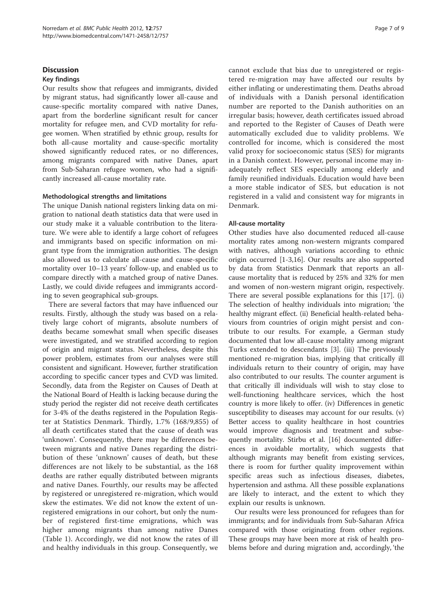### **Discussion**

#### Key findings

Our results show that refugees and immigrants, divided by migrant status, had significantly lower all-cause and cause-specific mortality compared with native Danes, apart from the borderline significant result for cancer mortality for refugee men, and CVD mortality for refugee women. When stratified by ethnic group, results for both all-cause mortality and cause-specific mortality showed significantly reduced rates, or no differences, among migrants compared with native Danes, apart from Sub-Saharan refugee women, who had a significantly increased all-cause mortality rate.

#### Methodological strengths and limitations

The unique Danish national registers linking data on migration to national death statistics data that were used in our study make it a valuable contribution to the literature. We were able to identify a large cohort of refugees and immigrants based on specific information on migrant type from the immigration authorities. The design also allowed us to calculate all-cause and cause-specific mortality over 10–13 years' follow-up, and enabled us to compare directly with a matched group of native Danes. Lastly, we could divide refugees and immigrants according to seven geographical sub-groups.

There are several factors that may have influenced our results. Firstly, although the study was based on a relatively large cohort of migrants, absolute numbers of deaths became somewhat small when specific diseases were investigated, and we stratified according to region of origin and migrant status. Nevertheless, despite this power problem, estimates from our analyses were still consistent and significant. However, further stratification according to specific cancer types and CVD was limited. Secondly, data from the Register on Causes of Death at the National Board of Health is lacking because during the study period the register did not receive death certificates for 3-4% of the deaths registered in the Population Register at Statistics Denmark. Thirdly, 1.7% (168/9,855) of all death certificates stated that the cause of death was 'unknown'. Consequently, there may be differences between migrants and native Danes regarding the distribution of these 'unknown' causes of death, but these differences are not likely to be substantial, as the 168 deaths are rather equally distributed between migrants and native Danes. Fourthly, our results may be affected by registered or unregistered re-migration, which would skew the estimates. We did not know the extent of unregistered emigrations in our cohort, but only the number of registered first-time emigrations, which was higher among migrants than among native Danes (Table [1](#page-2-0)). Accordingly, we did not know the rates of ill and healthy individuals in this group. Consequently, we

cannot exclude that bias due to unregistered or registered re-migration may have affected our results by either inflating or underestimating them. Deaths abroad of individuals with a Danish personal identification number are reported to the Danish authorities on an irregular basis; however, death certificates issued abroad and reported to the Register of Causes of Death were automatically excluded due to validity problems. We controlled for income, which is considered the most valid proxy for socioeconomic status (SES) for migrants in a Danish context. However, personal income may inadequately reflect SES especially among elderly and family reunified individuals. Education would have been a more stable indicator of SES, but education is not registered in a valid and consistent way for migrants in Denmark.

### All-cause mortality

Other studies have also documented reduced all-cause mortality rates among non-western migrants compared with natives, although variations according to ethnic origin occurred [[1-](#page-7-0)[3,16](#page-8-0)]. Our results are also supported by data from Statistics Denmark that reports an allcause mortality that is reduced by 25% and 32% for men and women of non-western migrant origin, respectively. There are several possible explanations for this [[17](#page-8-0)]. (i) The selection of healthy individuals into migration; 'the healthy migrant effect. (ii) Beneficial health-related behaviours from countries of origin might persist and contribute to our results. For example, a German study documented that low all-cause mortality among migrant Turks extended to descendants [\[3\]](#page-8-0). (iii) The previously mentioned re-migration bias, implying that critically ill individuals return to their country of origin, may have also contributed to our results. The counter argument is that critically ill individuals will wish to stay close to well-functioning healthcare services, which the host country is more likely to offer. (iv) Differences in genetic susceptibility to diseases may account for our results. (v) Better access to quality healthcare in host countries would improve diagnosis and treatment and subsequently mortality. Stirbu et al. [\[16\]](#page-8-0) documented differences in avoidable mortality, which suggests that although migrants may benefit from existing services, there is room for further quality improvement within specific areas such as infectious diseases, diabetes, hypertension and asthma. All these possible explanations are likely to interact, and the extent to which they explain our results is unknown.

Our results were less pronounced for refugees than for immigrants; and for individuals from Sub-Saharan Africa compared with those originating from other regions. These groups may have been more at risk of health problems before and during migration and, accordingly, 'the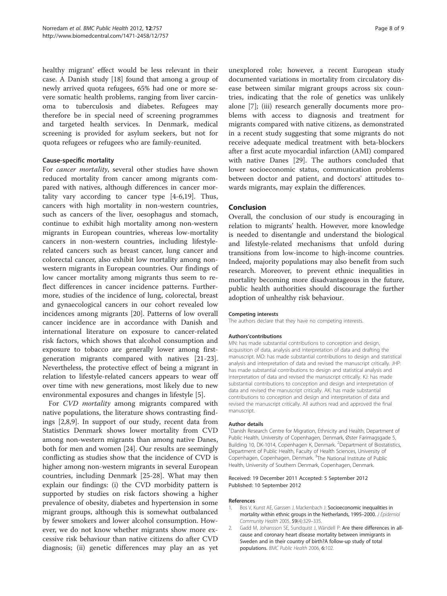<span id="page-7-0"></span>healthy migrant' effect would be less relevant in their case. A Danish study [\[18](#page-8-0)] found that among a group of newly arrived quota refugees, 65% had one or more severe somatic health problems, ranging from liver carcinoma to tuberculosis and diabetes. Refugees may therefore be in special need of screening programmes and targeted health services. In Denmark, medical screening is provided for asylum seekers, but not for quota refugees or refugees who are family-reunited.

#### Cause-specific mortality

For *cancer mortality*, several other studies have shown reduced mortality from cancer among migrants compared with natives, although differences in cancer mortality vary according to cancer type [[4-6,19](#page-8-0)]. Thus, cancers with high mortality in non-western countries, such as cancers of the liver, oesophagus and stomach, continue to exhibit high mortality among non-western migrants in European countries, whereas low-mortality cancers in non-western countries, including lifestylerelated cancers such as breast cancer, lung cancer and colorectal cancer, also exhibit low mortality among nonwestern migrants in European countries. Our findings of low cancer mortality among migrants thus seem to reflect differences in cancer incidence patterns. Furthermore, studies of the incidence of lung, colorectal, breast and gynaecological cancers in our cohort revealed low incidences among migrants [\[20](#page-8-0)]. Patterns of low overall cancer incidence are in accordance with Danish and international literature on exposure to cancer-related risk factors, which shows that alcohol consumption and exposure to tobacco are generally lower among firstgeneration migrants compared with natives [\[21-23](#page-8-0)]. Nevertheless, the protective effect of being a migrant in relation to lifestyle-related cancers appears to wear off over time with new generations, most likely due to new environmental exposures and changes in lifestyle [\[5](#page-8-0)].

For CVD mortality among migrants compared with native populations, the literature shows contrasting findings [2,[8,9\]](#page-8-0). In support of our study, recent data from Statistics Denmark shows lower mortality from CVD among non-western migrants than among native Danes, both for men and women [[24](#page-8-0)]. Our results are seemingly conflicting as studies show that the incidence of CVD is higher among non-western migrants in several European countries, including Denmark [\[25-28](#page-8-0)]. What may then explain our findings: (i) the CVD morbidity pattern is supported by studies on risk factors showing a higher prevalence of obesity, diabetes and hypertension in some migrant groups, although this is somewhat outbalanced by fewer smokers and lower alcohol consumption. However, we do not know whether migrants show more excessive risk behaviour than native citizens do after CVD diagnosis; (ii) genetic differences may play an as yet

unexplored role; however, a recent European study documented variations in mortality from circulatory disease between similar migrant groups across six countries, indicating that the role of genetics was unlikely alone [\[7\]](#page-8-0); (iii) research generally documents more problems with access to diagnosis and treatment for migrants compared with native citizens, as demonstrated in a recent study suggesting that some migrants do not receive adequate medical treatment with beta-blockers after a first acute myocardial infarction (AMI) compared with native Danes [[29\]](#page-8-0). The authors concluded that lower socioeconomic status, communication problems between doctor and patient, and doctors' attitudes towards migrants, may explain the differences.

### Conclusion

Overall, the conclusion of our study is encouraging in relation to migrants' health. However, more knowledge is needed to disentangle and understand the biological and lifestyle-related mechanisms that unfold during transitions from low-income to high-income countries. Indeed, majority populations may also benefit from such research. Moreover, to prevent ethnic inequalities in mortality becoming more disadvantageous in the future, public health authorities should discourage the further adoption of unhealthy risk behaviour.

#### Competing interests

The authors declare that they have no competing interests.

#### Authors'contributions

MN: has made substantial contributions to conception and design, acquisition of data, analysis and interpretation of data and drafting the manuscript. MO: has made substantial contributions to design and statistical analysis and interpretation of data and revised the manuscript critically. JHP: has made substantial contributions to design and statistical analysis and interpretation of data and revised the manuscript critically. KJ: has made substantial contributions to conception and design and interpretation of data and revised the manuscript critically. AK: has made substantial contributions to conception and design and interpretation of data and revised the manuscript critically. All authors read and approved the final manuscript.

#### Author details

<sup>1</sup>Danish Research Centre for Migration, Ethnicity and Health, Department of Public Health, University of Copenhagen, Denmark, Øster Farimagsgade 5, Building 10, DK-1014, Copenhagen K, Denmark. <sup>2</sup> Department of Biostatistics, Department of Public Health, Faculty of Health Sciences, University of Copenhagen, Copenhagen, Denmark. <sup>3</sup>The National Institute of Public Health, University of Southern Denmark, Copenhagen, Denmark.

#### Received: 19 December 2011 Accepted: 5 September 2012 Published: 10 September 2012

#### References

- 1. Bos V, Kunst AE, Garssen J, Mackenbach J: Socioeconomic inequalities in mortality within ethnic groups in the Netherlands, 1995-2000. J Epidemiol Community Health 2005, 59(4):329–335.
- 2. Gadd M, Johansson SE, Sundquist J, Wändell P: Are there differences in allcause and coronary heart disease mortality between immigrants in Sweden and in their country of birth?A follow-up study of total populations. BMC Public Health 2006, 6:102.